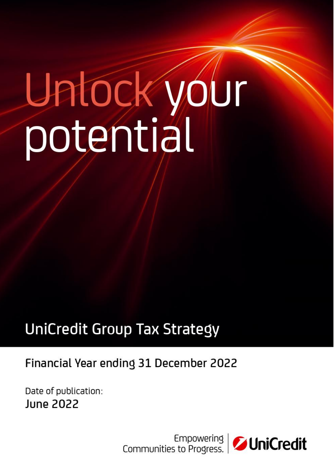# Untock your

# **UniCredit Group Tax Strategy**

## Financial Year ending 31 December 2022

Date of publication: **June 2022** 

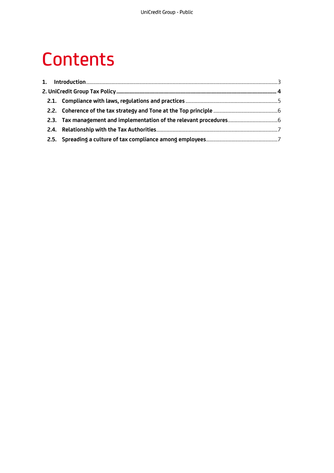# **Contents**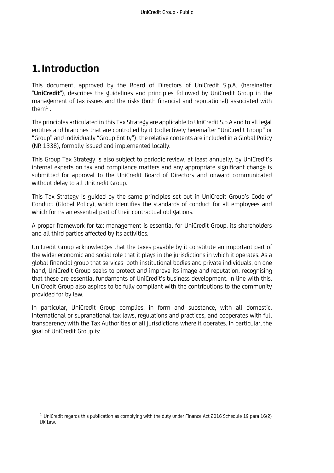### <span id="page-2-0"></span>**1. Introduction**

This document, approved by the Board of Directors of UniCredit S.p.A. (hereinafter "**UniCredit**"), describes the guidelines and principles followed by UniCredit Group in the management of tax issues and the risks (both financial and reputational) associated with them $1$ . .

The principles articulated in this Tax Strategy are applicable to UniCredit S.p.A and to all legal entities and branches that are controlled by it (collectively hereinafter "UniCredit Group" or "Group" and individually "Group Entity"): the relative contents are included in a Global Policy (NR 1338), formally issued and implemented locally.

This Group Tax Strategy is also subject to periodic review, at least annually, by UniCredit's internal experts on tax and compliance matters and any appropriate significant change is submitted for approval to the UniCredit Board of Directors and onward communicated without delay to all UniCredit Group.

This Tax Strategy is guided by the same principles set out in UniCredit Group's Code of Conduct (Global Policy), which identifies the standards of conduct for all employees and which forms an essential part of their contractual obligations.

A proper framework for tax management is essential for UniCredit Group, its shareholders and all third parties affected by its activities.

UniCredit Group acknowledges that the taxes payable by it constitute an important part of the wider economic and social role that it plays in the jurisdictions in which it operates. As a global financial group that services both institutional bodies and private individuals, on one hand, UniCredit Group seeks to protect and improve its image and reputation, recognising that these are essential fundaments of UniCredit's business development. In line with this, UniCredit Group also aspires to be fully compliant with the contributions to the community provided for by law.

In particular, UniCredit Group complies, in form and substance, with all domestic, international or supranational tax laws, regulations and practices, and cooperates with full transparency with the Tax Authorities of all jurisdictions where it operates. In particular, the goal of UniCredit Group is:

 $1$  UniCredit regards this publication as complying with the duty under Finance Act 2016 Schedule 19 para 16(2) UK Law.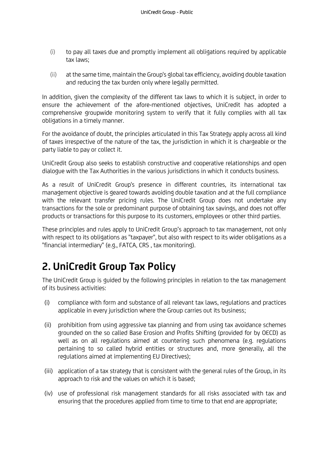- (i) to pay all taxes due and promptly implement all obligations required by applicable tax laws;
- (ii) at the same time, maintain the Group's global tax efficiency, avoiding double taxation and reducing the tax burden only where legally permitted.

In addition, given the complexity of the different tax laws to which it is subject, in order to ensure the achievement of the afore-mentioned objectives, UniCredit has adopted a comprehensive groupwide monitoring system to verify that it fully complies with all tax obligations in a timely manner.

For the avoidance of doubt, the principles articulated in this Tax Strategy apply across all kind of taxes irrespective of the nature of the tax, the jurisdiction in which it is chargeable or the party liable to pay or collect it.

UniCredit Group also seeks to establish constructive and cooperative relationships and open dialogue with the Tax Authorities in the various jurisdictions in which it conducts business.

As a result of UniCredit Group's presence in different countries, its international tax management objective is geared towards avoiding double taxation and at the full compliance with the relevant transfer pricing rules. The UniCredit Group does not undertake any transactions for the sole or predominant purpose of obtaining tax savings, and does not offer products or transactions for this purpose to its customers, employees or other third parties.

These principles and rules apply to UniCredit Group's approach to tax management, not only with respect to its obligations as "taxpayer", but also with respect to its wider obligations as a "financial intermediary" (e.g., FATCA, CRS , tax monitoring).

## <span id="page-3-0"></span>**2. UniCredit Group Tax Policy**

The UniCredit Group is guided by the following principles in relation to the tax management of its business activities:

- (i) compliance with form and substance of all relevant tax laws, regulations and practices applicable in every jurisdiction where the Group carries out its business;
- (ii) prohibition from using aggressive tax planning and from using tax avoidance schemes grounded on the so called Base Erosion and Profits Shifting (provided for by OECD) as well as on all regulations aimed at countering such phenomena (e.g. regulations pertaining to so called hybrid entities or structures and, more generally, all the regulations aimed at implementing EU Directives);
- (iii) application of a tax strategy that is consistent with the general rules of the Group, in its approach to risk and the values on which it is based;
- (iv) use of professional risk management standards for all risks associated with tax and ensuring that the procedures applied from time to time to that end are appropriate;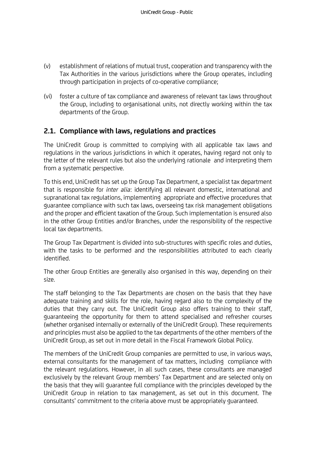- (v) establishment of relations of mutual trust, cooperation and transparency with the Tax Authorities in the various jurisdictions where the Group operates, including through participation in projects of co-operative compliance;
- (vi) foster a culture of tax compliance and awareness of relevant tax laws throughout the Group, including to organisational units, not directly working within the tax departments of the Group.

#### <span id="page-4-0"></span>**2.1. Compliance with laws, regulations and practices**

The UniCredit Group is committed to complying with all applicable tax laws and regulations in the various jurisdictions in which it operates, having regard not only to the letter of the relevant rules but also the underlying rationale and interpreting them from a systematic perspective.

To this end, UniCredit has set up the Group Tax Department, a specialist tax department that is responsible for *inter alia*: identifying all relevant domestic, international and supranational tax regulations, implementing appropriate and effective procedures that guarantee compliance with such tax laws, overseeing tax risk management obligations and the proper and efficient taxation of the Group. Such implementation is ensured also in the other Group Entities and/or Branches, under the responsibility of the respective local tax departments.

The Group Tax Department is divided into sub-structures with specific roles and duties, with the tasks to be performed and the responsibilities attributed to each clearly identified.

The other Group Entities are generally also organised in this way, depending on their size.

The staff belonging to the Tax Departments are chosen on the basis that they have adequate training and skills for the role, having regard also to the complexity of the duties that they carry out. The UniCredit Group also offers training to their staff, guaranteeing the opportunity for them to attend specialised and refresher courses (whether organised internally or externally of the UniCredit Group). These requirements and principles must also be applied to the tax departments of the other members of the UniCredit Group, as set out in more detail in the Fiscal Framework Global Policy.

The members of the UniCredit Group companies are permitted to use, in various ways, external consultants for the management of tax matters, including compliance with the relevant regulations. However, in all such cases, these consultants are managed exclusively by the relevant Group members' Tax Department and are selected only on the basis that they will guarantee full compliance with the principles developed by the UniCredit Group in relation to tax management, as set out in this document. The consultants' commitment to the criteria above must be appropriately guaranteed.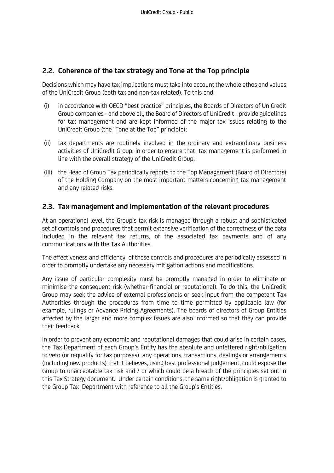#### <span id="page-5-0"></span>**2.2. Coherence of the tax strategy and Tone at the Top principle**

Decisions which may have tax implications must take into account the whole ethos and values of the UniCredit Group (both tax and non-tax related). To this end:

- (i) in accordance with OECD "best practice" principles, the Boards of Directors of UniCredit Group companies - and above all, the Board of Directors of UniCredit - provide guidelines for tax management and are kept informed of the major tax issues relating to the UniCredit Group (the "Tone at the Top" principle);
- (ii) tax departments are routinely involved in the ordinary and extraordinary business activities of UniCredit Group, in order to ensure that tax management is performed in line with the overall strategy of the UniCredit Group;
- (iii) the Head of Group Tax periodically reports to the Top Management (Board of Directors) of the Holding Company on the most important matters concerning tax management and any related risks.

#### <span id="page-5-1"></span>**2.3. Tax management and implementation of the relevant procedures**

At an operational level, the Group's tax risk is managed through a robust and sophisticated set of controls and procedures that permit extensive verification of the correctness of the data included in the relevant tax returns, of the associated tax payments and of any communications with the Tax Authorities.

The effectiveness and efficiency of these controls and procedures are periodically assessed in order to promptly undertake any necessary mitigation actions and modifications.

Any issue of particular complexity must be promptly managed in order to eliminate or minimise the consequent risk (whether financial or reputational). To do this, the UniCredit Group may seek the advice of external professionals or seek input from the competent Tax Authorities through the procedures from time to time permitted by applicable law (for example, rulings or Advance Pricing Agreements). The boards of directors of Group Entities affected by the larger and more complex issues are also informed so that they can provide their feedback.

In order to prevent any economic and reputational damages that could arise in certain cases, the Tax Department of each Group's Entity has the absolute and unfettered right/obligation to veto (or requalify for tax purposes) any operations, transactions, dealings or arrangements (including new products) that it believes, using best professional judgement, could expose the Group to unacceptable tax risk and / or which could be a breach of the principles set out in this Tax Strategy document. Under certain conditions, the same right/obligation is granted to the Group Tax Department with reference to all the Group's Entities.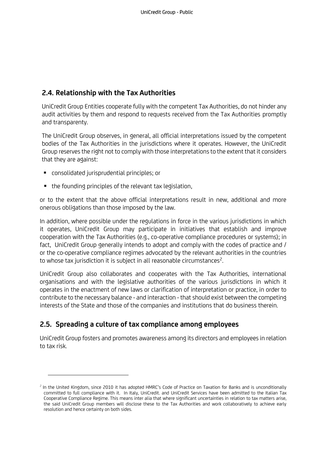#### <span id="page-6-0"></span>**2.4. Relationship with the Tax Authorities**

UniCredit Group Entities cooperate fully with the competent Tax Authorities, do not hinder any audit activities by them and respond to requests received from the Tax Authorities promptly and transparenty.

The UniCredit Group observes, in general, all official interpretations issued by the competent bodies of the Tax Authorities in the jurisdictions where it operates. However, the UniCredit Group reserves the right not to comply with those interpretations to the extent that it considers that they are against:

- consolidated jurisprudential principles; or
- the founding principles of the relevant tax legislation,

or to the extent that the above official interpretations result in new, additional and more onerous obligations than those imposed by the law.

In addition, where possible under the regulations in force in the various jurisdictions in which it operates, UniCredit Group may participate in initiatives that establish and improve cooperation with the Tax Authorities (e.g., co-operative compliance procedures or systems); in fact, UniCredit Group generally intends to adopt and comply with the codes of practice and / or the co-operative compliance regimes advocated by the relevant authorities in the countries to whose tax jurisdiction it is subject in all reasonable circumstances<sup>2</sup>. .

UniCredit Group also collaborates and cooperates with the Tax Authorities, international organisations and with the legislative authorities of the various jurisdictions in which it operates in the enactment of new laws or clarification of interpretation or practice, in order to contribute to the necessary balance - and interaction - that should exist between the competing interests of the State and those of the companies and institutions that do business therein.

#### <span id="page-6-1"></span>**2.5. Spreading a culture of tax compliance among employees**

UniCredit Group fosters and promotes awareness among its directors and employees in relation to tax risk.

<sup>&</sup>lt;sup>2</sup> In the United Kingdom, since 2010 it has adopted HMRC's Code of Practice on Taxation for Banks and is unconditionally committed to full compliance with it. In Italy, UniCredit. and UniCredit Services have been admitted to the Italian Tax Cooperative Compliance Regime. This means inter alia that where significant uncertainties in relation to tax matters arise, the said UniCredit Group members will disclose these to the Tax Authorities and work collaboratively to achieve early resolution and hence certainty on both sides.